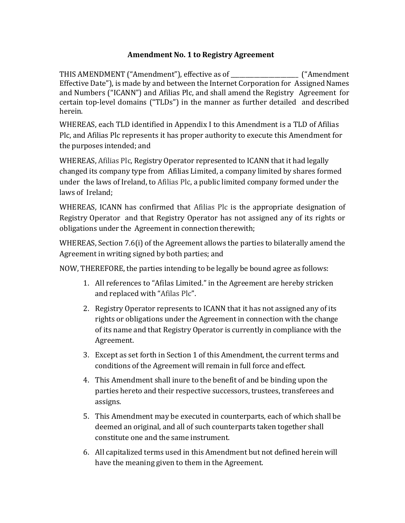### **Amendment No. 1 to Registry Agreement**

THIS AMENDMENT ("Amendment"), effective as of \_\_\_\_\_\_\_\_\_\_\_\_\_\_\_\_\_\_\_\_\_\_\_ ("Amendment Effective Date"), is made by and between the Internet Corporation for Assigned Names and Numbers ("ICANN") and Afilias Plc, and shall amend the Registry Agreement for certain top‐level domains ("TLDs") in the manner as further detailed and described herein.

WHEREAS, each TLD identified in Appendix I to this Amendment is a TLD of Afilias Plc, and Afilias Plc represents it has proper authority to execute this Amendment for the purposes intended; and

WHEREAS, Afilias Plc, Registry Operator represented to ICANN that it had legally changed its company type from Afilias Limited, a company limited by shares formed under the laws of Ireland, to Afilias Plc, a public limited company formed under the laws of Ireland;

WHEREAS, ICANN has confirmed that Afilias Plc is the appropriate designation of Registry Operator and that Registry Operator has not assigned any of its rights or obligations under the Agreement in connection therewith;

WHEREAS, Section 7.6(i) of the Agreement allows the parties to bilaterally amend the Agreement in writing signed by both parties; and

NOW, THEREFORE, the parties intending to be legally be bound agree as follows:

- 1. All references to "Afilas Limited." in the Agreement are hereby stricken and replaced with "Afilas Plc".
- 2. Registry Operator represents to ICANN that it has not assigned any of its rights or obligations under the Agreement in connection with the change of its name and that Registry Operator is currently in compliance with the Agreement.
- 3. Except as set forth in Section 1 of this Amendment, the current terms and conditions of the Agreement will remain in full force and effect.
- 4. This Amendment shall inure to the benefit of and be binding upon the parties hereto and their respective successors, trustees, transferees and assigns.
- 5. This Amendment may be executed in counterparts, each of which shall be deemed an original, and all of such counterparts taken together shall constitute one and the same instrument.
- 6. All capitalized terms used in this Amendment but not defined herein will have the meaning given to them in the Agreement.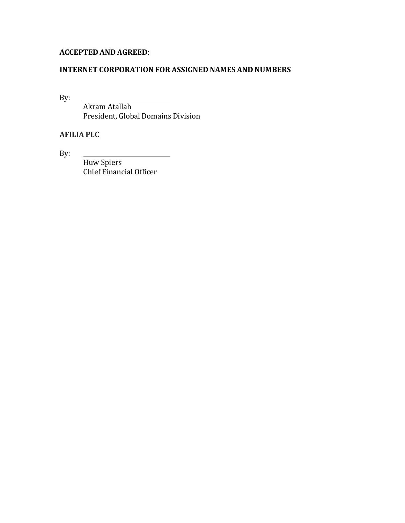# **ACCEPTED AND AGREED**:

#### **INTERNET CORPORATION FOR ASSIGNED NAMES AND NUMBERS**

By:

Akram Atallah President, Global Domains Division

# **AFILIA PLC**

By:

Huw Spiers Chief Financial Officer